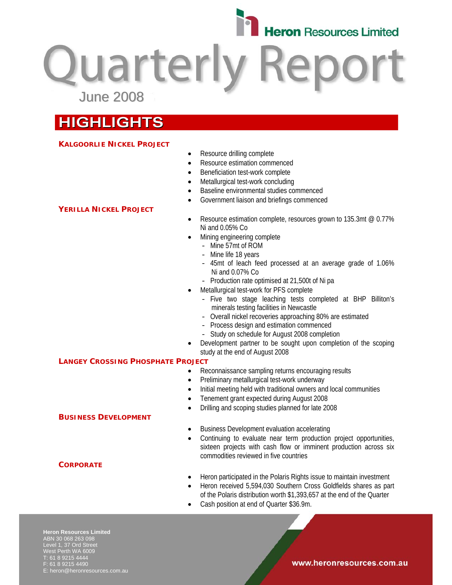

**Quarterly Repo** June 2008

# **HIGHLIGHTS**

# **KALGOORLIE NICKEL PROJECT**

- Resource drilling complete
- Resource estimation commenced
- Beneficiation test-work complete
- Metallurgical test-work concluding
- Baseline environmental studies commenced
- Government liaison and briefings commenced

# **YERILLA NICKEL PROJECT**

- Resource estimation complete, resources grown to 135.3mt @ 0.77% Ni and 0.05% Co
- Mining engineering complete
	- Mine 57mt of ROM
	- Mine life 18 years
	- 45mt of leach feed processed at an average grade of 1.06% Ni and 0.07% Co
	- Production rate optimised at 21,500t of Ni pa
	- Metallurgical test-work for PFS complete
		- Five two stage leaching tests completed at BHP Billiton's minerals testing facilities in Newcastle
		- Overall nickel recoveries approaching 80% are estimated
		- Process design and estimation commenced
		- Study on schedule for August 2008 completion
- Development partner to be sought upon completion of the scoping study at the end of August 2008

# **LANGEY CROSSING PHOSPHATE PROJECT**

**BUSINESS DEVELOPMENT**

- Reconnaissance sampling returns encouraging results
- Preliminary metallurgical test-work underway
- Initial meeting held with traditional owners and local communities
- Tenement grant expected during August 2008
- Drilling and scoping studies planned for late 2008
- Business Development evaluation accelerating
- Continuing to evaluate near term production project opportunities, sixteen projects with cash flow or imminent production across six commodities reviewed in five countries
- Heron participated in the Polaris Rights issue to maintain investment
- Heron received 5,594,030 Southern Cross Goldfields shares as part of the Polaris distribution worth \$1,393,657 at the end of the Quarter
- Cash position at end of Quarter \$36.9m.

**Heron Resources Limited**  ABN 30 068 263 098 Level 1, 37 Ord Street West Perth WA 6009 T: 61 8 9215 4444 F: 61 8 9215 4490 E: heron@heronresources.com.au

**CORPORATE**

### www.heronresources.com.au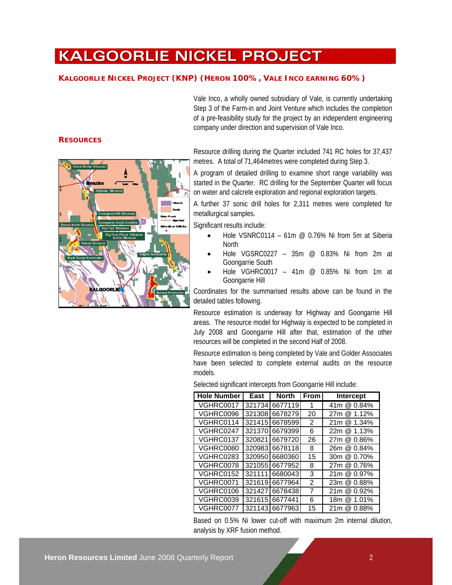Resource estimation is being completed by Vale and Golder Associates

have been selected to complete external audits on the resource models.

Selected significant intercepts from Goongarrie Hill include:

**Hole Number | East | North | From | Intercept** VGHRC0017 321734 6677119 1 41m @ 0.84% VGHRC0096 321308 6678279 20 27m @ 1.12%

| Based on 0.5% Ni lower cut-off with maximum 2m internal dilution, |  |  |  |  |  |  |
|-------------------------------------------------------------------|--|--|--|--|--|--|
| analysis by XRF fusion method.                                    |  |  |  |  |  |  |

# **RESOURCES**



Vale Inco, a wholly owned subsidiary of Vale, is currently undertaking Step 3 of the Farm-in and Joint Venture which includes the completion of a pre-feasibility study for the project by an independent engineering company under direction and supervision of Vale Inco.

Resource drilling during the Quarter included 741 RC holes for 37,437

metres. A total of 71,464metres were completed during Step 3.

A program of detailed drilling to examine short range variability was started in the Quarter. RC drilling for the September Quarter will focus on water and calcrete exploration and regional exploration targets.

A further 37 sonic drill holes for 2,311 metres were completed for metallurgical samples.

Significant results include:

**KALGOORLIE NICKEL PROJECT**

**KALGOORLIE NICKEL PROJECT (KNP) (HERON 100%, VALE INCO EARNING 60%)** 

- Hole VSNRC0114 61m  $\omega$  0.76% Ni from 5m at Siberia **North**
- Hole VGSRC0227 35m @ 0.83% Ni from 2m at Goongarrie South
- Hole VGHRC0017 41m @ 0.85% Ni from 1m at Goongarrie Hill

Coordinates for the summarised results above can be found in the detailed tables following.

Resource estimation is underway for Highway and Goongarrie Hill areas. The resource model for Highway is expected to be completed in July 2008 and Goongarrie Hill after that, estimation of the other

resources will be completed in the second Half of 2008.

| VGHRC0114                                                  |  | 321415 6678599  | $\mathcal{P}$  | 21m @ 1.34% |  |  |
|------------------------------------------------------------|--|-----------------|----------------|-------------|--|--|
| VGHRC0247                                                  |  | 321370 6679399  | 6              | 22m @ 1.13% |  |  |
| VGHRC0137                                                  |  | 320821166797201 | 26             | 27m @ 0.86% |  |  |
| <b>VGHRC0080</b>                                           |  | 320983 6678118  | 8              | 26m @ 0.84% |  |  |
| VGHRC0283                                                  |  | 320950 6680360  | 15             | 30m @ 0.70% |  |  |
| VGHRC0078                                                  |  | 321055 6677952  | 8              | 27m @ 0.76% |  |  |
| VGHRC0152                                                  |  | 321111 6680043  | 3              | 21m @ 0.97% |  |  |
| VGHRC0071                                                  |  | 321619166779641 | $\mathcal{P}$  | 23m @ 0.88% |  |  |
| VGHRC0106                                                  |  | 321427 6678438  | $\overline{7}$ | 21m @ 0.92% |  |  |
| VGHRC0039                                                  |  | 321615 6677441  | 6              | 18m @ 1.01% |  |  |
| VGHRC0077                                                  |  | 321143 6677963  | 15             | 21m @ 0.88% |  |  |
| Based on 0.5% Ni lower cut off with maximum 2m internal di |  |                 |                |             |  |  |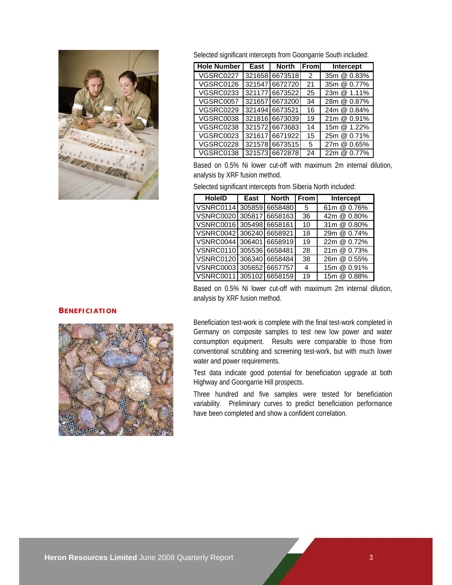

Selected significant intercepts from Goongarrie South included:

| <b>Hole Number</b> | East | <b>North</b>    | <b>IFroml</b> | Intercept   |
|--------------------|------|-----------------|---------------|-------------|
| VGSRC0227          |      | 321658 6673518  | 2             | 35m @ 0.83% |
| VGSRC0126          |      | 321547166727201 | 21            | 35m @ 0.77% |
| <b>VGSRC0233</b>   |      | 321177 6673522  | 25            | 23m @ 1.11% |
| <b>VGSRC0057</b>   |      | 321657166732001 | 34            | 28m @ 0.87% |
| VGSRC0229          |      | 32149416673521  | 16            | 24m @ 0.84% |
| <b>VGSRC0038</b>   |      | 321816 6673039  | 19            | 21m @ 0.91% |
| VGSRC0238          |      | 321572166736831 | 14            | 15m @ 1.22% |
| <b>VGSRC0023</b>   |      | 32161716671922  | 15            | 25m @ 0.71% |
| VGSRC0228          |      | 321578166735151 | 5             | 27m @ 0.65% |
| VGSRC0138          |      | 321573 6672878  | 24            | 22m @ 0.77% |

Based on 0.5% Ni lower cut-off with maximum 2m internal dilution, analysis by XRF fusion method.

Selected significant intercepts from Siberia North included:

| <b>HoleID</b>            | East | <b>North</b> | l From          | <b>Intercept</b> |
|--------------------------|------|--------------|-----------------|------------------|
| VSNRC0114 305859 6658480 |      |              | $5\overline{)}$ | 61m @ 0.76%      |
| VSNRC0020 305817 6658163 |      |              | 36              | 42m @ 0.80%      |
| VSNRC0016 305498 6658161 |      |              | 10              | 31m @ 0.80%      |
| VSNRC0042 306240 6658921 |      |              | 18              | 29m @ 0.74%      |
| VSNRC0044 306401 6658919 |      |              | 19              | 22m @ 0.72%      |
| VSNRC0110 305536 6658481 |      |              | 28              | 21m @ 0.73%      |
| VSNRC0120 306340 6658484 |      |              | 38              | 26m @ 0.55%      |
| VSNRC0003 305652 6657757 |      |              | 4               | 15m @ 0.91%      |
| VSNRC0011 305102 6658159 |      |              | 19              | 15m @ 0.88%      |

Based on 0.5% Ni lower cut-off with maximum 2m internal dilution, analysis by XRF fusion method.

### **BENEFICIATION**



Beneficiation test-work is complete with the final test-work completed in Germany on composite samples to test new low power and water consumption equipment. Results were comparable to those from conventional scrubbing and screening test-work, but with much lower water and power requirements.

Test data indicate good potential for beneficiation upgrade at both Highway and Goongarrie Hill prospects.

Three hundred and five samples were tested for beneficiation variability. Preliminary curves to predict beneficiation performance have been completed and show a confident correlation.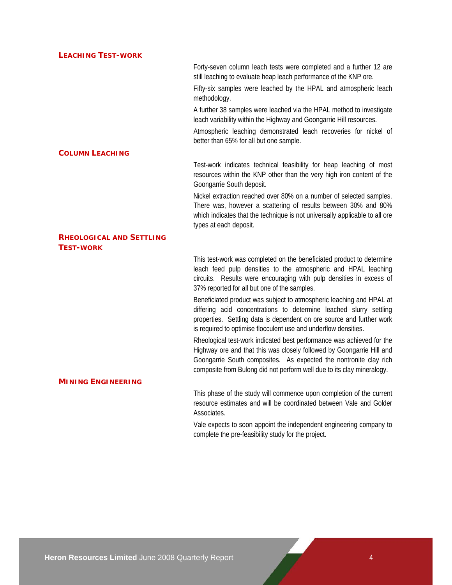### **LEACHING TEST-WORK**

Forty-seven column leach tests were completed and a further 12 are still leaching to evaluate heap leach performance of the KNP ore.

Fifty-six samples were leached by the HPAL and atmospheric leach methodology.

A further 38 samples were leached via the HPAL method to investigate leach variability within the Highway and Goongarrie Hill resources.

Atmospheric leaching demonstrated leach recoveries for nickel of better than 65% for all but one sample.

### **COLUMN LEACHING**

Test-work indicates technical feasibility for heap leaching of most resources within the KNP other than the very high iron content of the Goongarrie South deposit.

Nickel extraction reached over 80% on a number of selected samples. There was, however a scattering of results between 30% and 80% which indicates that the technique is not universally applicable to all ore types at each deposit.

### **RHEOLOGICAL AND SETTLING TEST-WORK**

This test-work was completed on the beneficiated product to determine leach feed pulp densities to the atmospheric and HPAL leaching circuits. Results were encouraging with pulp densities in excess of 37% reported for all but one of the samples.

Beneficiated product was subject to atmospheric leaching and HPAL at differing acid concentrations to determine leached slurry settling properties. Settling data is dependent on ore source and further work is required to optimise flocculent use and underflow densities.

Rheological test-work indicated best performance was achieved for the Highway ore and that this was closely followed by Goongarrie Hill and Goongarrie South composites. As expected the nontronite clay rich composite from Bulong did not perform well due to its clay mineralogy.

# **MINING ENGINEERING**

This phase of the study will commence upon completion of the current resource estimates and will be coordinated between Vale and Golder Associates.

Vale expects to soon appoint the independent engineering company to complete the pre-feasibility study for the project.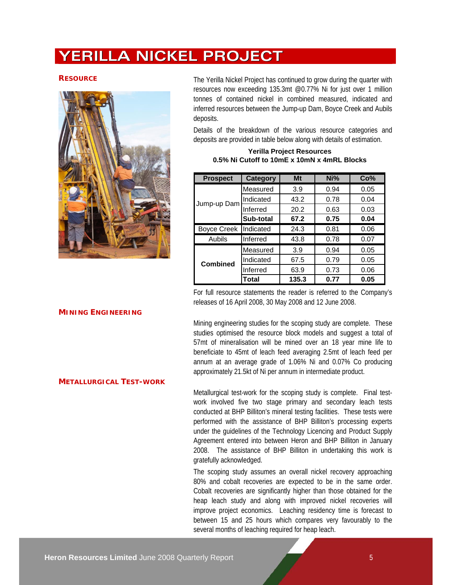# **YERILLA NICKEL PROJECT**



**RESOURCE** The Yerilla Nickel Project has continued to grow during the quarter with resources now exceeding 135.3mt @0.77% Ni for just over 1 million tonnes of contained nickel in combined measured, indicated and inferred resources between the Jump-up Dam, Boyce Creek and Aubils deposits.

> Details of the breakdown of the various resource categories and deposits are provided in table below along with details of estimation.

**Yerilla Project Resources 0.5% Ni Cutoff to 10mE x 10mN x 4mRL Blocks**

| <b>Prospect</b>    | <b>Category</b> | Mt    | Ni%  | Co%  |
|--------------------|-----------------|-------|------|------|
|                    | Measured        | 3.9   | 0.94 | 0.05 |
| Jump-up Dam        | Indicated       | 43.2  | 0.78 | 0.04 |
|                    | Inferred        | 20.2  | 0.63 | 0.03 |
|                    | Sub-total       | 67.2  | 0.75 | 0.04 |
| <b>Boyce Creek</b> | Indicated       | 24.3  | 0.81 | 0.06 |
| Aubils             | Inferred        | 43.8  | 0.78 | 0.07 |
|                    | Measured        | 3.9   | 0.94 | 0.05 |
| Combined           | Indicated       | 67.5  | 0.79 | 0.05 |
|                    | Inferred        | 63.9  | 0.73 | 0.06 |
|                    | Total           | 135.3 | 0.77 | 0.05 |

For full resource statements the reader is referred to the Company's releases of 16 April 2008, 30 May 2008 and 12 June 2008.

Mining engineering studies for the scoping study are complete. These studies optimised the resource block models and suggest a total of 57mt of mineralisation will be mined over an 18 year mine life to beneficiate to 45mt of leach feed averaging 2.5mt of leach feed per annum at an average grade of 1.06% Ni and 0.07% Co producing approximately 21.5kt of Ni per annum in intermediate product.

Metallurgical test-work for the scoping study is complete. Final testwork involved five two stage primary and secondary leach tests conducted at BHP Billiton's mineral testing facilities. These tests were performed with the assistance of BHP Billiton's processing experts under the guidelines of the Technology Licencing and Product Supply Agreement entered into between Heron and BHP Billiton in January 2008. The assistance of BHP Billiton in undertaking this work is gratefully acknowledged.

The scoping study assumes an overall nickel recovery approaching 80% and cobalt recoveries are expected to be in the same order. Cobalt recoveries are significantly higher than those obtained for the heap leach study and along with improved nickel recoveries will improve project economics. Leaching residency time is forecast to between 15 and 25 hours which compares very favourably to the several months of leaching required for heap leach.

## **MINING ENGINEERING**

# **METALLURGICAL TEST-WORK**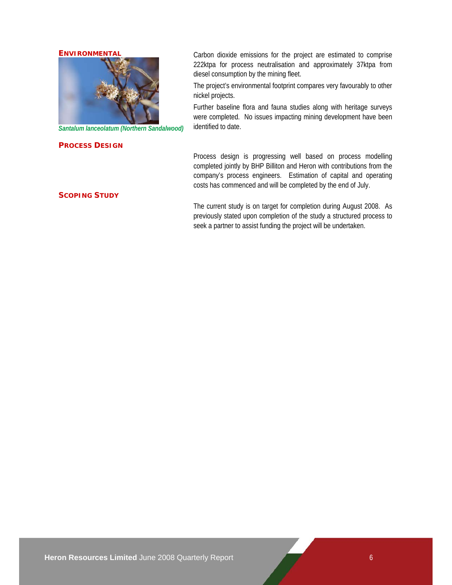# **ENVIRONMENTAL**



*Santalum lanceolatum (Northern Sandalwood)* 

#### **PROCESS DESIGN**

Carbon dioxide emissions for the project are estimated to comprise 222ktpa for process neutralisation and approximately 37ktpa from diesel consumption by the mining fleet.

The project's environmental footprint compares very favourably to other nickel projects.

Further baseline flora and fauna studies along with heritage surveys were completed. No issues impacting mining development have been identified to date.

Process design is progressing well based on process modelling completed jointly by BHP Billiton and Heron with contributions from the company's process engineers. Estimation of capital and operating costs has commenced and will be completed by the end of July.

The current study is on target for completion during August 2008. As previously stated upon completion of the study a structured process to seek a partner to assist funding the project will be undertaken.

#### **SCOPING STUDY**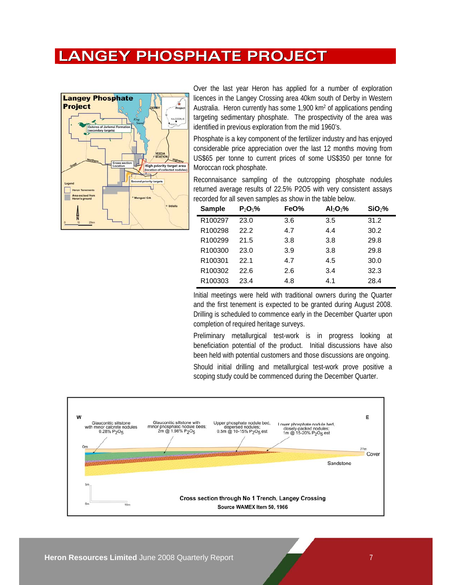# **LANGEY PHOSPHATE PROJECT**



Over the last year Heron has applied for a number of exploration licences in the Langey Crossing area 40km south of Derby in Western Australia. Heron currently has some 1,900 km2 of applications pending targeting sedimentary phosphate. The prospectivity of the area was identified in previous exploration from the mid 1960's.

Phosphate is a key component of the fertilizer industry and has enjoyed considerable price appreciation over the last 12 months moving from US\$65 per tonne to current prices of some US\$350 per tonne for Moroccan rock phosphate.

Reconnaisance sampling of the outcropping phosphate nodules returned average results of 22.5% P2O5 with very consistent assays recorded for all seven samples as show in the table below.

| <b>Sample</b>       | $P_2O_5%$ | FeO% | $Al_2O_3\%$ | SiO <sub>2</sub> % |
|---------------------|-----------|------|-------------|--------------------|
| R100297             | 23.0      | 3.6  | 3.5         | 31.2               |
| R <sub>100298</sub> | 22.2      | 4.7  | 4.4         | 30.2               |
| R <sub>100299</sub> | 21.5      | 3.8  | 3.8         | 29.8               |
| R100300             | 23.0      | 3.9  | 3.8         | 29.8               |
| R <sub>100301</sub> | 22.1      | 4.7  | 4.5         | 30.0               |
| R <sub>100302</sub> | 22.6      | 2.6  | 3.4         | 32.3               |
| R <sub>100303</sub> | 23.4      | 4.8  | 4.1         | 28.4               |

Initial meetings were held with traditional owners during the Quarter and the first tenement is expected to be granted during August 2008. Drilling is scheduled to commence early in the December Quarter upon completion of required heritage surveys.

Preliminary metallurgical test-work is in progress looking at beneficiation potential of the product. Initial discussions have also been held with potential customers and those discussions are ongoing.

Should initial drilling and metallurgical test-work prove positive a scoping study could be commenced during the December Quarter.

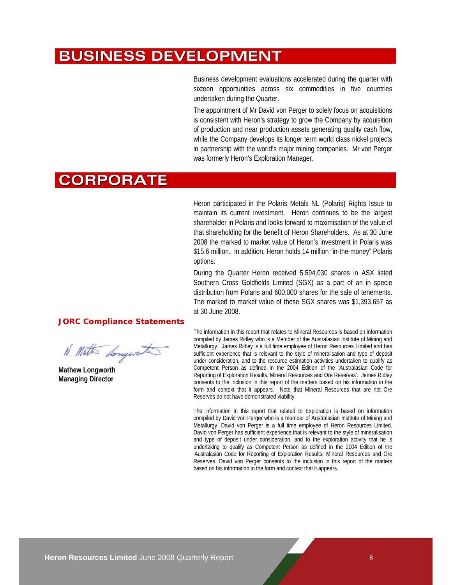# **BUSINESS DEVELOPMENT**

Business development evaluations accelerated during the quarter with sixteen opportunities across six commodities in five countries undertaken during the Quarter.

The appointment of Mr David von Perger to solely focus on acquisitions is consistent with Heron's strategy to grow the Company by acquisition of production and near production assets generating quality cash flow, while the Company develops its longer term world class nickel projects in partnership with the world's major mining companies. Mr von Perger was formerly Heron's Exploration Manager.

# **CORPORATE**

Heron participated in the Polaris Metals NL (Polaris) Rights Issue to maintain its current investment. Heron continues to be the largest shareholder in Polaris and looks forward to maximisation of the value of that shareholding for the benefit of Heron Shareholders. As at 30 June 2008 the marked to market value of Heron's investment in Polaris was \$15.6 million. In addition, Heron holds 14 million "in-the-money" Polaris options.

During the Quarter Heron received 5,594,030 shares in ASX listed Southern Cross Goldfields Limited (SGX) as a part of an in specie distribution from Polaris and 600,000 shares for the sale of tenements. The marked to market value of these SGX shares was \$1,393,657 as at 30 June 2008.

### **JORC Compliance Statements**

N. Math Longwort

**Mathew Longworth Managing Director** 

The information in this report that relates to Mineral Resources is based on information compiled by James Ridley who is a Member of the Australasian Institute of Mining and Metallurgy. James Ridley is a full time employee of Heron Resources Limited and has sufficient experience that is relevant to the style of mineralisation and type of deposit under consideration, and to the resource estimation activities undertaken to qualify as Competent Person as defined in the 2004 Edition of the 'Australasian Code for Reporting of Exploration Results, Mineral Resources and Ore Reserves'. James Ridley consents to the inclusion in this report of the matters based on his information in the form and context that it appears. Note that Mineral Resources that are not Ore Reserves do not have demonstrated viability.

The information in this report that related to Exploration is based on information compiled by David von Perger who is a member of Australasian Institute of Mining and Metallurgy. David von Perger is a full time employee of Heron Resources Limited. David von Perger has sufficient experience that is relevant to the style of mineralisation and type of deposit under consideration, and to the exploration activity that he is undertaking to qualify as Competent Person as defined in the 2004 Edition of the 'Australasian Code for Reporting of Exploration Results, Mineral Resources and Ore Reserves. David von Perger consents to the inclusion in this report of the matters based on his information in the form and context that it appears.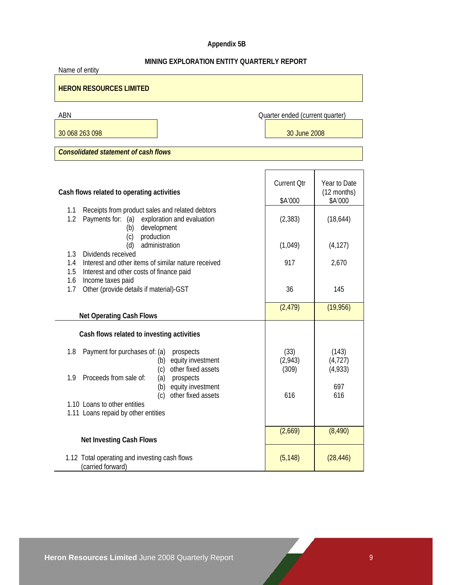# **Appendix 5B**

# **MINING EXPLORATION ENTITY QUARTERLY REPORT**

| Name of entity                                                                                                                         |                                 |                              |  |  |  |  |
|----------------------------------------------------------------------------------------------------------------------------------------|---------------------------------|------------------------------|--|--|--|--|
| <b>HERON RESOURCES LIMITED</b>                                                                                                         |                                 |                              |  |  |  |  |
| ABN                                                                                                                                    | Quarter ended (current quarter) |                              |  |  |  |  |
| 30 068 263 098                                                                                                                         | 30 June 2008                    |                              |  |  |  |  |
| <b>Consolidated statement of cash flows</b>                                                                                            |                                 |                              |  |  |  |  |
|                                                                                                                                        |                                 |                              |  |  |  |  |
| Cash flows related to operating activities                                                                                             | <b>Current Qtr</b>              | Year to Date<br>(12 months)  |  |  |  |  |
|                                                                                                                                        | \$A'000                         | \$A'000                      |  |  |  |  |
| 1.1<br>Receipts from product sales and related debtors<br>1.2<br>Payments for: (a)<br>exploration and evaluation<br>development<br>(b) | (2, 383)                        | (18, 644)                    |  |  |  |  |
| production<br>(c)<br>administration<br>(d)<br>1.3<br>Dividends received                                                                | (1,049)                         | (4, 127)                     |  |  |  |  |
| Interest and other items of similar nature received<br>1.4<br>1.5<br>Interest and other costs of finance paid                          | 917                             | 2,670                        |  |  |  |  |
| 1.6<br>Income taxes paid<br>Other (provide details if material)-GST<br>1.7                                                             | 36                              | 145                          |  |  |  |  |
| <b>Net Operating Cash Flows</b>                                                                                                        | (2, 479)                        | (19, 956)                    |  |  |  |  |
| Cash flows related to investing activities                                                                                             |                                 |                              |  |  |  |  |
| 1.8<br>Payment for purchases of: (a)<br>prospects<br>equity investment<br>(b)<br>other fixed assets<br>(c)                             | (33)<br>(2,943)<br>(309)        | (143)<br>(4, 727)<br>(4,933) |  |  |  |  |
| Proceeds from sale of:<br>1.9<br>(a)<br>prospects<br>equity investment<br>(b)<br>(c)<br>other fixed assets                             | 616                             | 697<br>616                   |  |  |  |  |
| 1.10 Loans to other entities<br>1.11 Loans repaid by other entities                                                                    |                                 |                              |  |  |  |  |
| <b>Net Investing Cash Flows</b>                                                                                                        | (2,669)                         | (8, 490)                     |  |  |  |  |
| 1.12 Total operating and investing cash flows<br>(carried forward)                                                                     | (5, 148)                        | (28, 446)                    |  |  |  |  |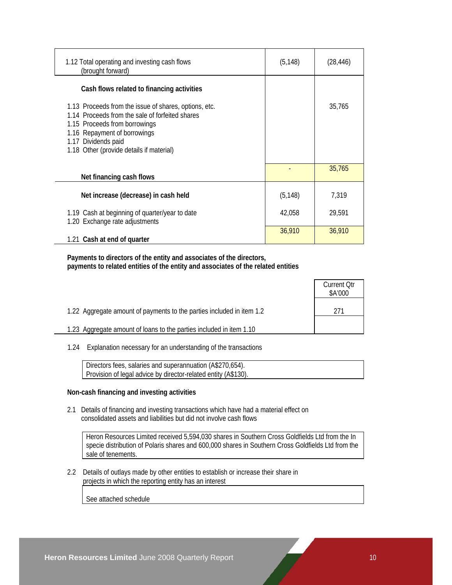| 1.12 Total operating and investing cash flows<br>(brought forward)                                                                                                                                                                           | (5, 148) | (28, 446) |
|----------------------------------------------------------------------------------------------------------------------------------------------------------------------------------------------------------------------------------------------|----------|-----------|
| Cash flows related to financing activities                                                                                                                                                                                                   |          |           |
| 1.13 Proceeds from the issue of shares, options, etc.<br>1.14 Proceeds from the sale of forfeited shares<br>1.15 Proceeds from borrowings<br>1.16 Repayment of borrowings<br>1.17 Dividends paid<br>1.18 Other (provide details if material) |          | 35,765    |
| Net financing cash flows                                                                                                                                                                                                                     |          | 35,765    |
| Net increase (decrease) in cash held                                                                                                                                                                                                         | (5, 148) | 7,319     |
| 1.19 Cash at beginning of quarter/year to date<br>1.20 Exchange rate adjustments                                                                                                                                                             | 42,058   | 29,591    |
| 1.21 Cash at end of quarter                                                                                                                                                                                                                  | 36,910   | 36,910    |

 **Payments to directors of the entity and associates of the directors, payments to related entities of the entity and associates of the related entities** 

|                                                                       | <b>Current Otr</b><br>\$A'000 |
|-----------------------------------------------------------------------|-------------------------------|
| 1.22 Aggregate amount of payments to the parties included in item 1.2 | 271                           |
| 1.23 Aggregate amount of loans to the parties included in item 1.10   |                               |

1.24 Explanation necessary for an understanding of the transactions

 Directors fees, salaries and superannuation (A\$270,654). Provision of legal advice by director-related entity (A\$130).

### **Non-cash financing and investing activities**

 2.1 Details of financing and investing transactions which have had a material effect on consolidated assets and liabilities but did not involve cash flows

 Heron Resources Limited received 5,594,030 shares in Southern Cross Goldfields Ltd from the In specie distribution of Polaris shares and 600,000 shares in Southern Cross Goldfields Ltd from the sale of tenements.

 2.2 Details of outlays made by other entities to establish or increase their share in projects in which the reporting entity has an interest

See attached schedule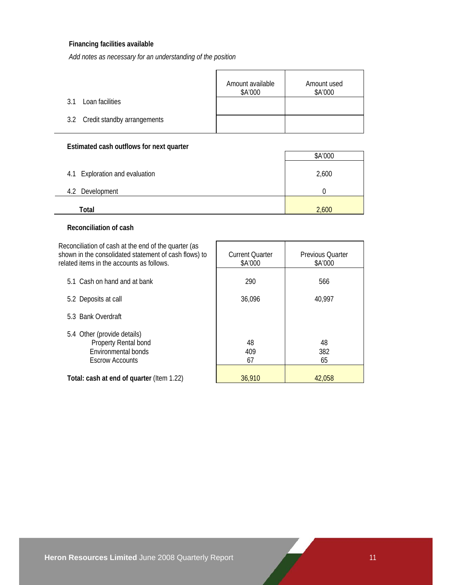# **Financing facilities available**

*Add notes as necessary for an understanding of the position*

|                                 | Amount available<br>\$A'000 | Amount used<br>\$A'000 |
|---------------------------------|-----------------------------|------------------------|
| Loan facilities<br>3.1          |                             |                        |
| 3.2 Credit standby arrangements |                             |                        |

# **Estimated cash outflows for next quarter**

|                                | \$A'000 |
|--------------------------------|---------|
| 4.1 Exploration and evaluation | 2,600   |
| Development<br>4.2             |         |
| Total                          | 2,600   |

# **Reconciliation of cash**

Reconciliation of cash at the end of the quarter (as shown in the consolidated statement of cash flows) to related items in the

| related items in the accounts as follows.                                                            | \$A'000         | \$A'000         |
|------------------------------------------------------------------------------------------------------|-----------------|-----------------|
| 5.1 Cash on hand and at bank                                                                         | 290             | 566             |
| 5.2 Deposits at call                                                                                 | 36,096          | 40,997          |
| 5.3 Bank Overdraft                                                                                   |                 |                 |
| 5.4 Other (provide details)<br>Property Rental bond<br>Environmental bonds<br><b>Escrow Accounts</b> | 48<br>409<br>67 | 48<br>382<br>65 |
| Total: cash at end of quarter (Item 1.22)                                                            | 36.910          | 42.058          |

Current Quarter

Previous Quarter

 $\overline{\phantom{a}}$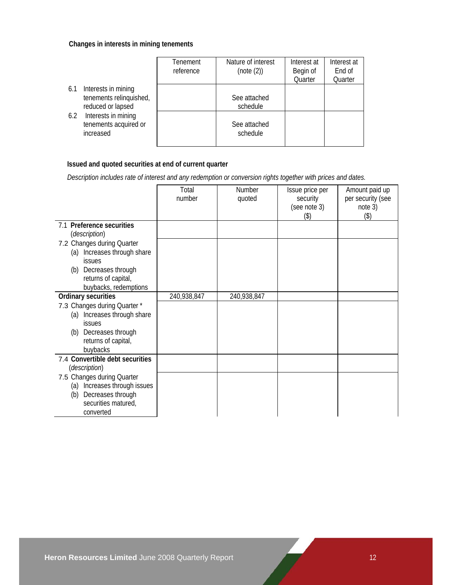# **Changes in interests in mining tenements**

|                                                                            | Tenement<br>reference | Nature of interest<br>(note (2)) | Interest at<br>Begin of<br>Quarter | Interest at<br>End of<br>Quarter |
|----------------------------------------------------------------------------|-----------------------|----------------------------------|------------------------------------|----------------------------------|
| Interests in mining<br>6.1<br>tenements relinquished,<br>reduced or lapsed |                       | See attached<br>schedule         |                                    |                                  |
| Interests in mining<br>6.2<br>tenements acquired or<br>increased           |                       | See attached<br>schedule         |                                    |                                  |

# **Issued and quoted securities at end of current quarter**

 *Description includes rate of interest and any redemption or conversion rights together with prices and dates.* 

|                                                                                                                                                           | Total<br>number | Number<br>quoted | Issue price per<br>security<br>(see note 3) | Amount paid up<br>per security (see<br>note 3) |
|-----------------------------------------------------------------------------------------------------------------------------------------------------------|-----------------|------------------|---------------------------------------------|------------------------------------------------|
| 7.1 Preference securities<br>(description)                                                                                                                |                 |                  | (3)                                         | (3)                                            |
| 7.2 Changes during Quarter<br>Increases through share<br>(a)<br><i>issues</i><br>Decreases through<br>(b)<br>returns of capital,<br>buybacks, redemptions |                 |                  |                                             |                                                |
| Ordinary securities                                                                                                                                       | 240,938,847     | 240,938,847      |                                             |                                                |
| 7.3 Changes during Quarter *<br>(a) Increases through share<br><b>issues</b><br>Decreases through<br>(b)<br>returns of capital,<br>buybacks               |                 |                  |                                             |                                                |
| 7.4 Convertible debt securities<br>(description)                                                                                                          |                 |                  |                                             |                                                |
| 7.5 Changes during Quarter<br>Increases through issues<br>(a)<br>Decreases through<br>(b)<br>securities matured,<br>converted                             |                 |                  |                                             |                                                |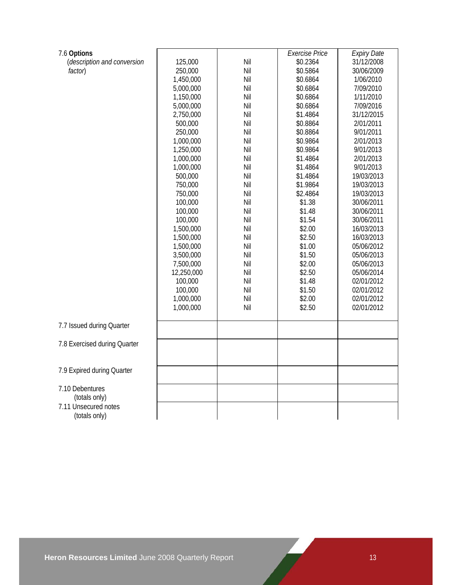| 7.6 Options                  |            |     | <b>Exercise Price</b> | <b>Expiry Date</b> |
|------------------------------|------------|-----|-----------------------|--------------------|
| (description and conversion  | 125,000    | Nil | \$0.2364              | 31/12/2008         |
| factor)                      | 250,000    | Nil | \$0.5864              | 30/06/2009         |
|                              | 1,450,000  | Nil | \$0.6864              | 1/06/2010          |
|                              | 5,000,000  | Nil | \$0.6864              | 7/09/2010          |
|                              | 1,150,000  | Nil | \$0.6864              | 1/11/2010          |
|                              | 5,000,000  | Nil | \$0.6864              | 7/09/2016          |
|                              | 2,750,000  | Nil | \$1.4864              | 31/12/2015         |
|                              | 500,000    | Nil | \$0.8864              | 2/01/2011          |
|                              | 250,000    | Nil | \$0.8864              | 9/01/2011          |
|                              | 1,000,000  | Nil | \$0.9864              | 2/01/2013          |
|                              | 1,250,000  | Nil | \$0.9864              | 9/01/2013          |
|                              | 1,000,000  | Nil | \$1.4864              | 2/01/2013          |
|                              | 1,000,000  | Nil | \$1.4864              | 9/01/2013          |
|                              | 500,000    | Nil | \$1.4864              | 19/03/2013         |
|                              | 750,000    | Nil | \$1.9864              | 19/03/2013         |
|                              | 750,000    | Nil | \$2.4864              | 19/03/2013         |
|                              | 100,000    | Nil | \$1.38                | 30/06/2011         |
|                              | 100,000    | Nil | \$1.48                | 30/06/2011         |
|                              | 100,000    | Nil | \$1.54                | 30/06/2011         |
|                              | 1,500,000  | Nil | \$2.00                | 16/03/2013         |
|                              | 1,500,000  | Nil | \$2.50                | 16/03/2013         |
|                              | 1,500,000  | Nil | \$1.00                | 05/06/2012         |
|                              | 3,500,000  | Nil | \$1.50                | 05/06/2013         |
|                              | 7,500,000  | Nil | \$2.00                | 05/06/2013         |
|                              | 12,250,000 | Nil | \$2.50                | 05/06/2014         |
|                              | 100,000    | Nil | \$1.48                | 02/01/2012         |
|                              | 100,000    | Nil | \$1.50                | 02/01/2012         |
|                              | 1,000,000  | Nil | \$2.00                | 02/01/2012         |
|                              | 1,000,000  | Nil | \$2.50                | 02/01/2012         |
|                              |            |     |                       |                    |
| 7.7 Issued during Quarter    |            |     |                       |                    |
|                              |            |     |                       |                    |
| 7.8 Exercised during Quarter |            |     |                       |                    |
|                              |            |     |                       |                    |
|                              |            |     |                       |                    |
| 7.9 Expired during Quarter   |            |     |                       |                    |
|                              |            |     |                       |                    |
| 7.10 Debentures              |            |     |                       |                    |
| (totals only)                |            |     |                       |                    |
| 7.11 Unsecured notes         |            |     |                       |                    |
| (totals only)                |            |     |                       |                    |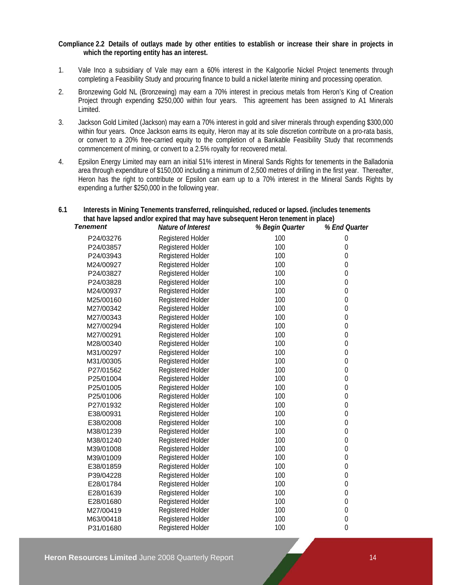### **Compliance 2.2 Details of outlays made by other entities to establish or increase their share in projects in which the reporting entity has an interest.**

- 1. Vale Inco a subsidiary of Vale may earn a 60% interest in the Kalgoorlie Nickel Project tenements through completing a Feasibility Study and procuring finance to build a nickel laterite mining and processing operation.
- 2. Bronzewing Gold NL (Bronzewing) may earn a 70% interest in precious metals from Heron's King of Creation Project through expending \$250,000 within four years. This agreement has been assigned to A1 Minerals Limited.
- 3. Jackson Gold Limited (Jackson) may earn a 70% interest in gold and silver minerals through expending \$300,000 within four years. Once Jackson earns its equity, Heron may at its sole discretion contribute on a pro-rata basis, or convert to a 20% free-carried equity to the completion of a Bankable Feasibility Study that recommends commencement of mining, or convert to a 2.5% royalty for recovered metal.
- 4. Epsilon Energy Limited may earn an initial 51% interest in Mineral Sands Rights for tenements in the Balladonia area through expenditure of \$150,000 including a minimum of 2,500 metres of drilling in the first year. Thereafter, Heron has the right to contribute or Epsilon can earn up to a 70% interest in the Mineral Sands Rights by expending a further \$250,000 in the following year.

# **6.1 Interests in Mining Tenements transferred, relinquished, reduced or lapsed. (includes tenements that have lapsed and/or expired that may have subsequent Heron tenement in place)**

| <b>Tenement</b> | Nature of Interest       | % Begin Quarter | % End Quarter    |
|-----------------|--------------------------|-----------------|------------------|
| P24/03276       | Registered Holder        | 100             | $\mathbf 0$      |
| P24/03857       | Registered Holder        | 100             | $\mathbf 0$      |
| P24/03943       | Registered Holder        | 100             | 0                |
| M24/00927       | <b>Registered Holder</b> | 100             | 0                |
| P24/03827       | Registered Holder        | 100             | $\theta$         |
| P24/03828       | Registered Holder        | 100             | $\boldsymbol{0}$ |
| M24/00937       | Registered Holder        | 100             | $\boldsymbol{0}$ |
| M25/00160       | <b>Registered Holder</b> | 100             | 0                |
| M27/00342       | Registered Holder        | 100             | $\boldsymbol{0}$ |
| M27/00343       | Registered Holder        | 100             | $\mathbf 0$      |
| M27/00294       | Registered Holder        | 100             | $\boldsymbol{0}$ |
| M27/00291       | <b>Registered Holder</b> | 100             | $\boldsymbol{0}$ |
| M28/00340       | Registered Holder        | 100             | $\theta$         |
| M31/00297       | Registered Holder        | 100             | $\theta$         |
| M31/00305       | <b>Registered Holder</b> | 100             | $\boldsymbol{0}$ |
| P27/01562       | Registered Holder        | 100             | $\boldsymbol{0}$ |
| P25/01004       | <b>Registered Holder</b> | 100             | $\boldsymbol{0}$ |
| P25/01005       | <b>Registered Holder</b> | 100             | $\boldsymbol{0}$ |
| P25/01006       | Registered Holder        | 100             | $\mathbf 0$      |
| P27/01932       | Registered Holder        | 100             | $\boldsymbol{0}$ |
| E38/00931       | Registered Holder        | 100             | 0                |
| E38/02008       | Registered Holder        | 100             | $\boldsymbol{0}$ |
| M38/01239       | Registered Holder        | 100             | $\theta$         |
| M38/01240       | Registered Holder        | 100             | 0                |
| M39/01008       | Registered Holder        | 100             | $\boldsymbol{0}$ |
| M39/01009       | Registered Holder        | 100             | $\mathbf 0$      |
| E38/01859       | <b>Registered Holder</b> | 100             | $\mathbf 0$      |
| P39/04228       | <b>Registered Holder</b> | 100             | $\boldsymbol{0}$ |
| E28/01784       | Registered Holder        | 100             | 0                |
| E28/01639       | Registered Holder        | 100             | 0                |
| E28/01680       | Registered Holder        | 100             | $\boldsymbol{0}$ |
| M27/00419       | <b>Registered Holder</b> | 100             | $\boldsymbol{0}$ |
| M63/00418       | <b>Registered Holder</b> | 100             | $\boldsymbol{0}$ |
| P31/01680       | <b>Registered Holder</b> | 100             | $\boldsymbol{0}$ |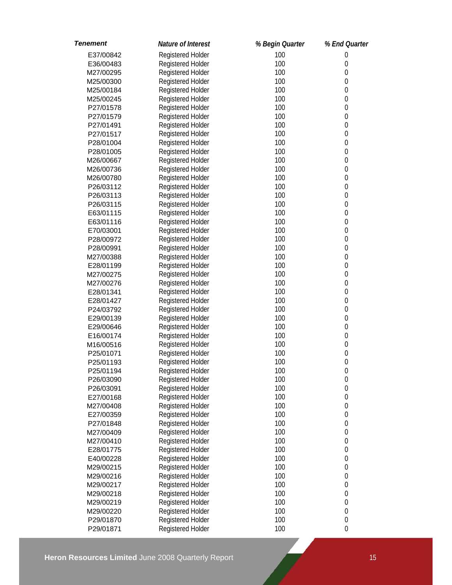| <b>Tenement</b> | Nature of Interest | % Begin Quarter | % End Quarter    |
|-----------------|--------------------|-----------------|------------------|
| E37/00842       | Registered Holder  | 100             | $\mathbf 0$      |
| E36/00483       | Registered Holder  | 100             | $\mathbf 0$      |
| M27/00295       | Registered Holder  | 100             | $\mathbf 0$      |
| M25/00300       | Registered Holder  | 100             | $\mathbf 0$      |
| M25/00184       | Registered Holder  | 100             | $\boldsymbol{0}$ |
| M25/00245       | Registered Holder  | 100             | $\boldsymbol{0}$ |
| P27/01578       | Registered Holder  | 100             | $\boldsymbol{0}$ |
| P27/01579       | Registered Holder  | 100             | $\boldsymbol{0}$ |
| P27/01491       | Registered Holder  | 100             | $\boldsymbol{0}$ |
| P27/01517       | Registered Holder  | 100             | $\boldsymbol{0}$ |
| P28/01004       | Registered Holder  | 100             | $\boldsymbol{0}$ |
| P28/01005       | Registered Holder  | 100             | $\boldsymbol{0}$ |
| M26/00667       | Registered Holder  | 100             | $\boldsymbol{0}$ |
| M26/00736       | Registered Holder  | 100             | $\boldsymbol{0}$ |
| M26/00780       | Registered Holder  | 100             | $\mathbf 0$      |
| P26/03112       | Registered Holder  | 100             | $\mathbf 0$      |
| P26/03113       | Registered Holder  | 100             | $\mathbf 0$      |
| P26/03115       | Registered Holder  | 100             | $\mathbf 0$      |
| E63/01115       | Registered Holder  | 100             | $\mathbf 0$      |
| E63/01116       | Registered Holder  | 100             | $\mathbf 0$      |
| E70/03001       | Registered Holder  | 100             | $\mathbf 0$      |
| P28/00972       | Registered Holder  | 100             | $\mathbf 0$      |
| P28/00991       | Registered Holder  | 100             | $\boldsymbol{0}$ |
| M27/00388       | Registered Holder  | 100             | $\boldsymbol{0}$ |
| E28/01199       | Registered Holder  | 100             | $\boldsymbol{0}$ |
| M27/00275       | Registered Holder  | 100             | $\boldsymbol{0}$ |
| M27/00276       | Registered Holder  | 100             | $\boldsymbol{0}$ |
| E28/01341       | Registered Holder  | 100             | $\boldsymbol{0}$ |
| E28/01427       | Registered Holder  | 100             | $\boldsymbol{0}$ |
| P24/03792       | Registered Holder  | 100             | $\boldsymbol{0}$ |
| E29/00139       | Registered Holder  | 100             | $\boldsymbol{0}$ |
| E29/00646       | Registered Holder  | 100             | $\boldsymbol{0}$ |
| E16/00174       | Registered Holder  | 100             | $\boldsymbol{0}$ |
| M16/00516       | Registered Holder  | 100             | $\boldsymbol{0}$ |
| P25/01071       | Registered Holder  | 100             | $\boldsymbol{0}$ |
| P25/01193       | Registered Holder  | 100             | 0                |
| P25/01194       | Registered Holder  | 100             | $\boldsymbol{0}$ |
| P26/03090       | Registered Holder  | 100             | $\mathbf 0$      |
| P26/03091       | Registered Holder  | 100             | $\boldsymbol{0}$ |
| E27/00168       | Registered Holder  | 100             | $\boldsymbol{0}$ |
| M27/00408       | Registered Holder  | 100             | $\boldsymbol{0}$ |
| E27/00359       | Registered Holder  | 100             | $\boldsymbol{0}$ |
| P27/01848       | Registered Holder  | 100             | $\boldsymbol{0}$ |
| M27/00409       | Registered Holder  | 100             | $\boldsymbol{0}$ |
| M27/00410       | Registered Holder  | 100             | $\boldsymbol{0}$ |
| E28/01775       | Registered Holder  | 100             | $\boldsymbol{0}$ |
| E40/00228       | Registered Holder  | 100             | $\boldsymbol{0}$ |
| M29/00215       | Registered Holder  | 100             | $\boldsymbol{0}$ |
| M29/00216       | Registered Holder  | 100             | $\boldsymbol{0}$ |
| M29/00217       | Registered Holder  | 100             | $\boldsymbol{0}$ |
| M29/00218       | Registered Holder  | 100             | $\boldsymbol{0}$ |
| M29/00219       | Registered Holder  | 100             | $\boldsymbol{0}$ |
| M29/00220       | Registered Holder  | 100             | $\boldsymbol{0}$ |
| P29/01870       | Registered Holder  | 100             | $\boldsymbol{0}$ |
| P29/01871       | Registered Holder  | 100             | $\boldsymbol{0}$ |
|                 |                    |                 |                  |

**Heron Resources Limited** June 2008 Quarterly Report 15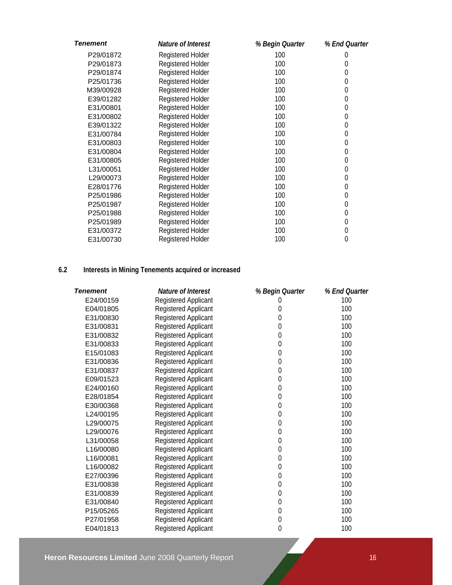| <b>Tenement</b> | Nature of Interest       | % Begin Quarter | % End Quarter |
|-----------------|--------------------------|-----------------|---------------|
| P29/01872       | Registered Holder        | 100             | 0             |
| P29/01873       | Registered Holder        | 100             | 0             |
| P29/01874       | Registered Holder        | 100             | 0             |
| P25/01736       | <b>Registered Holder</b> | 100             | 0             |
| M39/00928       | Registered Holder        | 100             | 0             |
| E39/01282       | <b>Registered Holder</b> | 100             | 0             |
| E31/00801       | <b>Registered Holder</b> | 100             | 0             |
| E31/00802       | Registered Holder        | 100             | 0             |
| E39/01322       | Registered Holder        | 100             | 0             |
| E31/00784       | <b>Registered Holder</b> | 100             | 0             |
| E31/00803       | Registered Holder        | 100             | 0             |
| E31/00804       | Registered Holder        | 100             | 0             |
| E31/00805       | Registered Holder        | 100             | 0             |
| L31/00051       | Registered Holder        | 100             | 0             |
| L29/00073       | <b>Registered Holder</b> | 100             | 0             |
| E28/01776       | Registered Holder        | 100             | 0             |
| P25/01986       | <b>Registered Holder</b> | 100             | 0             |
| P25/01987       | Registered Holder        | 100             | 0             |
| P25/01988       | <b>Registered Holder</b> | 100             | 0             |
| P25/01989       | <b>Registered Holder</b> | 100             | 0             |
| E31/00372       | <b>Registered Holder</b> | 100             | 0             |
| E31/00730       | <b>Registered Holder</b> | 100             | 0             |

# **6.2 Interests in Mining Tenements acquired or increased**

| <b>Tenement</b> | Nature of Interest          | % Begin Quarter  | % End Quarter |
|-----------------|-----------------------------|------------------|---------------|
| E24/00159       | Registered Applicant        |                  | 100           |
| E04/01805       | Registered Applicant        | $\boldsymbol{0}$ | 100           |
| E31/00830       | Registered Applicant        | $\mathbf 0$      | 100           |
| E31/00831       | Registered Applicant        | $\boldsymbol{0}$ | 100           |
| E31/00832       | <b>Registered Applicant</b> | $\mathbf 0$      | 100           |
| E31/00833       | <b>Registered Applicant</b> | $\mathbf 0$      | 100           |
| E15/01083       | Registered Applicant        | $\mathbf 0$      | 100           |
| E31/00836       | Registered Applicant        | $\mathbf 0$      | 100           |
| E31/00837       | Registered Applicant        | $\mathbf 0$      | 100           |
| E09/01523       | Registered Applicant        | $\boldsymbol{0}$ | 100           |
| E24/00160       | Registered Applicant        | $\mathbf 0$      | 100           |
| E28/01854       | Registered Applicant        | $\boldsymbol{0}$ | 100           |
| E30/00368       | <b>Registered Applicant</b> | $\mathbf 0$      | 100           |
| L24/00195       | Registered Applicant        | $\mathbf{0}$     | 100           |
| L29/00075       | Registered Applicant        | $\mathbf 0$      | 100           |
| L29/00076       | Registered Applicant        | $\mathbf 0$      | 100           |
| L31/00058       | <b>Registered Applicant</b> | $\mathbf{0}$     | 100           |
| L16/00080       | <b>Registered Applicant</b> | $\mathbf 0$      | 100           |
| L16/00081       | Registered Applicant        | $\mathbf 0$      | 100           |
| L16/00082       | <b>Registered Applicant</b> | $\mathbf 0$      | 100           |
| E27/00396       | Registered Applicant        | $\mathbf 0$      | 100           |
| E31/00838       | Registered Applicant        | $\mathbf 0$      | 100           |
| E31/00839       | Registered Applicant        | $\mathbf 0$      | 100           |
| E31/00840       | Registered Applicant        | $\mathbf 0$      | 100           |
| P15/05265       | Registered Applicant        | $\mathbf 0$      | 100           |
| P27/01958       | <b>Registered Applicant</b> | $\mathbf 0$      | 100           |
| E04/01813       | <b>Registered Applicant</b> | $\mathbf{0}$     | 100           |